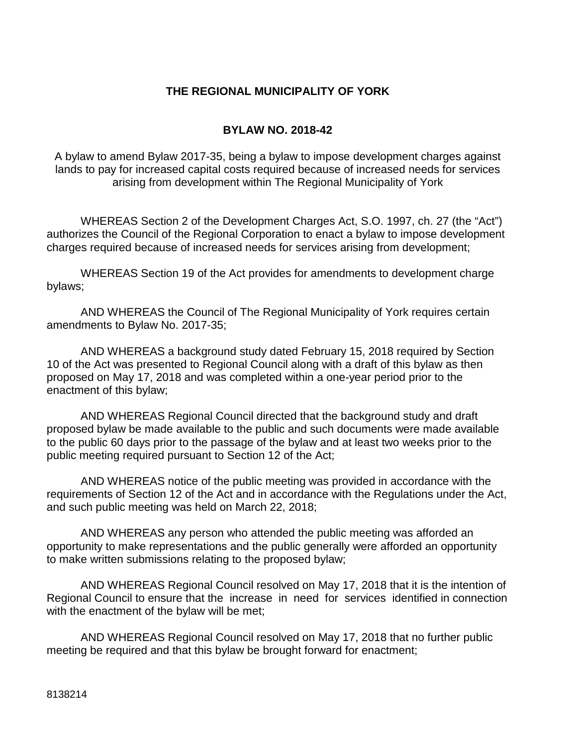#### **THE REGIONAL MUNICIPALITY OF YORK**

#### **BYLAW NO. 2018-42**

A bylaw to amend Bylaw 2017-35, being a bylaw to impose development charges against lands to pay for increased capital costs required because of increased needs for services arising from development within The Regional Municipality of York

WHEREAS Section 2 of the Development Charges Act, S.O. 1997, ch. 27 (the "Act") authorizes the Council of the Regional Corporation to enact a bylaw to impose development charges required because of increased needs for services arising from development;

WHEREAS Section 19 of the Act provides for amendments to development charge bylaws;

AND WHEREAS the Council of The Regional Municipality of York requires certain amendments to Bylaw No. 2017-35;

AND WHEREAS a background study dated February 15, 2018 required by Section 10 of the Act was presented to Regional Council along with a draft of this bylaw as then proposed on May 17, 2018 and was completed within a one-year period prior to the enactment of this bylaw;

AND WHEREAS Regional Council directed that the background study and draft proposed bylaw be made available to the public and such documents were made available to the public 60 days prior to the passage of the bylaw and at least two weeks prior to the public meeting required pursuant to Section 12 of the Act;

AND WHEREAS notice of the public meeting was provided in accordance with the requirements of Section 12 of the Act and in accordance with the Regulations under the Act, and such public meeting was held on March 22, 2018;

AND WHEREAS any person who attended the public meeting was afforded an opportunity to make representations and the public generally were afforded an opportunity to make written submissions relating to the proposed bylaw;

AND WHEREAS Regional Council resolved on May 17, 2018 that it is the intention of Regional Council to ensure that the increase in need for services identified in connection with the enactment of the bylaw will be met;

AND WHEREAS Regional Council resolved on May 17, 2018 that no further public meeting be required and that this bylaw be brought forward for enactment;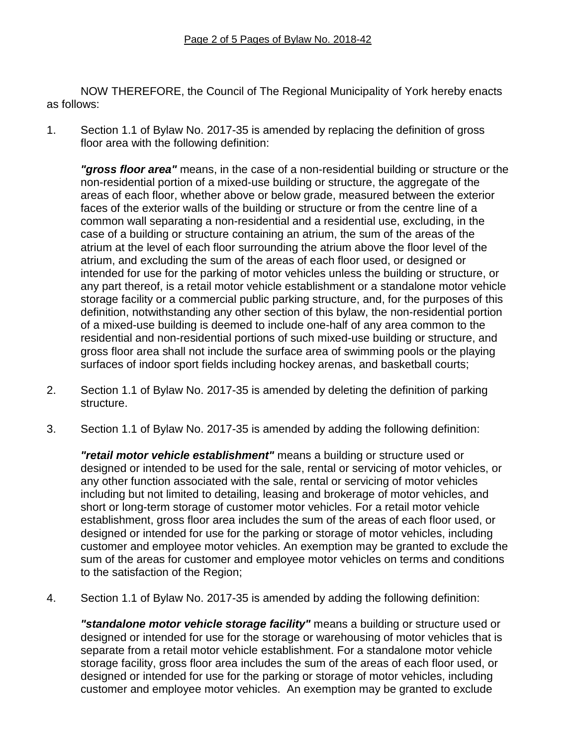NOW THEREFORE, the Council of The Regional Municipality of York hereby enacts as follows:

1. Section 1.1 of Bylaw No. 2017-35 is amended by replacing the definition of gross floor area with the following definition:

*"gross floor area"* means, in the case of a non-residential building or structure or the non-residential portion of a mixed-use building or structure, the aggregate of the areas of each floor, whether above or below grade, measured between the exterior faces of the exterior walls of the building or structure or from the centre line of a common wall separating a non-residential and a residential use, excluding, in the case of a building or structure containing an atrium, the sum of the areas of the atrium at the level of each floor surrounding the atrium above the floor level of the atrium, and excluding the sum of the areas of each floor used, or designed or intended for use for the parking of motor vehicles unless the building or structure, or any part thereof, is a retail motor vehicle establishment or a standalone motor vehicle storage facility or a commercial public parking structure, and, for the purposes of this definition, notwithstanding any other section of this bylaw, the non-residential portion of a mixed-use building is deemed to include one-half of any area common to the residential and non-residential portions of such mixed-use building or structure, and gross floor area shall not include the surface area of swimming pools or the playing surfaces of indoor sport fields including hockey arenas, and basketball courts;

- 2. Section 1.1 of Bylaw No. 2017-35 is amended by deleting the definition of parking structure.
- 3. Section 1.1 of Bylaw No. 2017-35 is amended by adding the following definition:

*"retail motor vehicle establishment"* means a building or structure used or designed or intended to be used for the sale, rental or servicing of motor vehicles, or any other function associated with the sale, rental or servicing of motor vehicles including but not limited to detailing, leasing and brokerage of motor vehicles, and short or long-term storage of customer motor vehicles. For a retail motor vehicle establishment, gross floor area includes the sum of the areas of each floor used, or designed or intended for use for the parking or storage of motor vehicles, including customer and employee motor vehicles. An exemption may be granted to exclude the sum of the areas for customer and employee motor vehicles on terms and conditions to the satisfaction of the Region;

4. Section 1.1 of Bylaw No. 2017-35 is amended by adding the following definition:

*"standalone motor vehicle storage facility"* means a building or structure used or designed or intended for use for the storage or warehousing of motor vehicles that is separate from a retail motor vehicle establishment. For a standalone motor vehicle storage facility, gross floor area includes the sum of the areas of each floor used, or designed or intended for use for the parking or storage of motor vehicles, including customer and employee motor vehicles. An exemption may be granted to exclude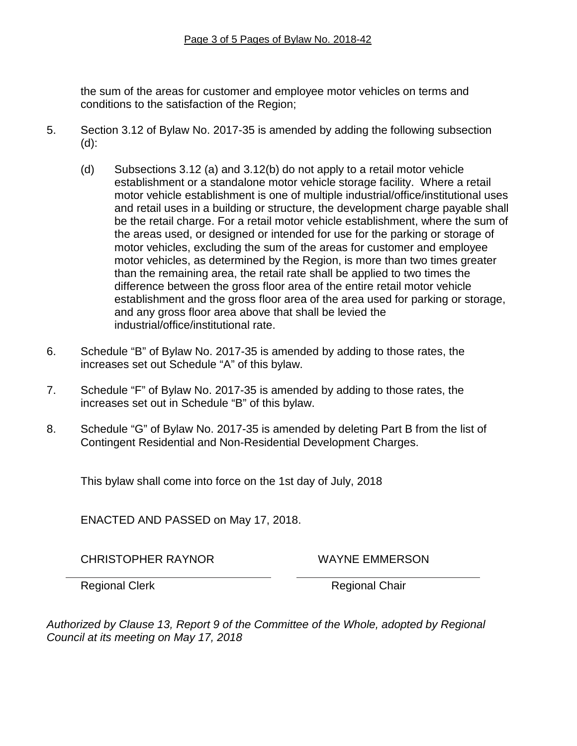the sum of the areas for customer and employee motor vehicles on terms and conditions to the satisfaction of the Region;

- 5. Section 3.12 of Bylaw No. 2017-35 is amended by adding the following subsection (d):
	- (d) Subsections 3.12 (a) and 3.12(b) do not apply to a retail motor vehicle establishment or a standalone motor vehicle storage facility. Where a retail motor vehicle establishment is one of multiple industrial/office/institutional uses and retail uses in a building or structure, the development charge payable shall be the retail charge. For a retail motor vehicle establishment, where the sum of the areas used, or designed or intended for use for the parking or storage of motor vehicles, excluding the sum of the areas for customer and employee motor vehicles, as determined by the Region, is more than two times greater than the remaining area, the retail rate shall be applied to two times the difference between the gross floor area of the entire retail motor vehicle establishment and the gross floor area of the area used for parking or storage, and any gross floor area above that shall be levied the industrial/office/institutional rate.
- 6. Schedule "B" of Bylaw No. 2017-35 is amended by adding to those rates, the increases set out Schedule "A" of this bylaw.
- 7. Schedule "F" of Bylaw No. 2017-35 is amended by adding to those rates, the increases set out in Schedule "B" of this bylaw.
- 8. Schedule "G" of Bylaw No. 2017-35 is amended by deleting Part B from the list of Contingent Residential and Non-Residential Development Charges.

This bylaw shall come into force on the 1st day of July, 2018

ENACTED AND PASSED on May 17, 2018.

CHRISTOPHER RAYNOR WAYNE EMMERSON

Regional Clerk **Regional Chair** 

*Authorized by Clause 13, Report 9 of the Committee of the Whole, adopted by Regional Council at its meeting on May 17, 2018*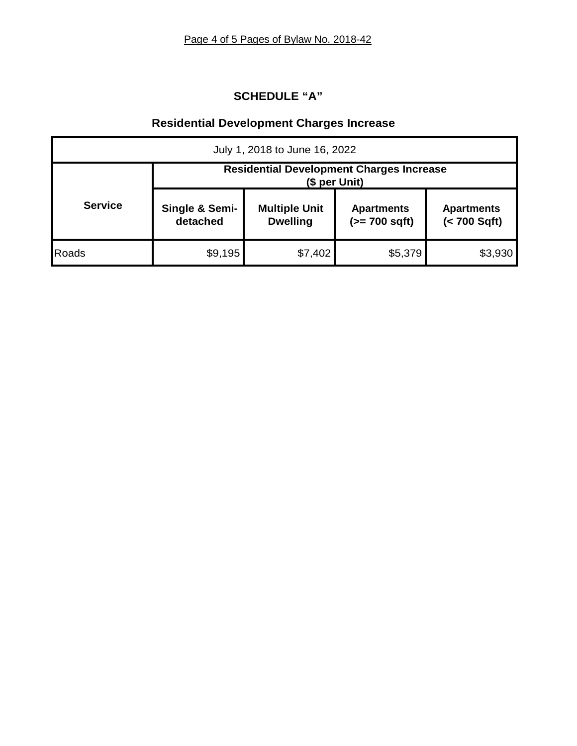# **SCHEDULE "A"**

# **Residential Development Charges Increase**

| July 1, 2018 to June 16, 2022 |                                                                  |                                         |                                      |                                   |  |  |  |  |  |
|-------------------------------|------------------------------------------------------------------|-----------------------------------------|--------------------------------------|-----------------------------------|--|--|--|--|--|
|                               | <b>Residential Development Charges Increase</b><br>(\$ per Unit) |                                         |                                      |                                   |  |  |  |  |  |
| <b>Service</b>                | Single & Semi-<br>detached                                       | <b>Multiple Unit</b><br><b>Dwelling</b> | <b>Apartments</b><br>$(>= 700$ sqft) | <b>Apartments</b><br>(< 700 Sqft) |  |  |  |  |  |
| Roads                         | \$9,195                                                          | \$7,402                                 | \$5,379                              | \$3,930                           |  |  |  |  |  |